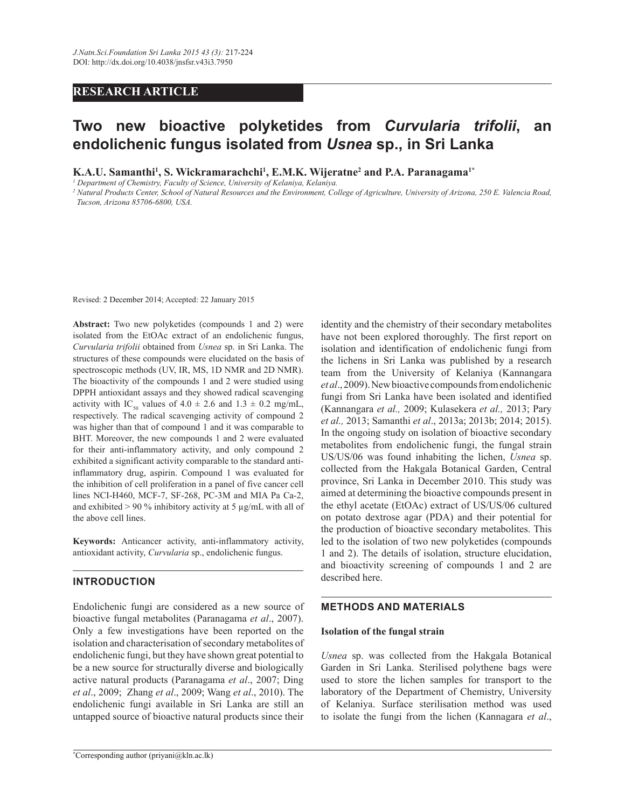# **RESEARCH ARTICLE**

# **Two new bioactive polyketides from** *Curvularia trifolii***, an endolichenic fungus isolated from** *Usnea* **sp., in Sri Lanka**

**K.A.U. Samanthi<sup>1</sup> , S. Wickramarachchi<sup>1</sup> , E.M.K. Wijeratne<sup>2</sup> and P.A. Paranagama1\***

*1 Department of Chemistry, Faculty of Science, University of Kelaniya, Kelaniya.*

*2 Natural Products Center, School of Natural Resources and the Environment, College of Agriculture, University of Arizona, 250 E. Valencia Road, Tucson, Arizona 85706-6800, USA.*

Revised: 2 December 2014; Accepted: 22 January 2015

**Abstract:** Two new polyketides (compounds 1 and 2) were isolated from the EtOAc extract of an endolichenic fungus, *Curvularia trifolii* obtained from *Usnea* sp. in Sri Lanka. The structures of these compounds were elucidated on the basis of spectroscopic methods (UV, IR, MS, 1D NMR and 2D NMR). The bioactivity of the compounds 1 and 2 were studied using DPPH antioxidant assays and they showed radical scavenging activity with IC<sub>50</sub> values of  $4.0 \pm 2.6$  and  $1.3 \pm 0.2$  mg/mL, respectively. The radical scavenging activity of compound 2 was higher than that of compound 1 and it was comparable to BHT. Moreover, the new compounds 1 and 2 were evaluated for their anti-inflammatory activity, and only compound 2 exhibited a significant activity comparable to the standard antiinflammatory drug, aspirin. Compound 1 was evaluated for the inhibition of cell proliferation in a panel of five cancer cell lines NCI-H460, MCF-7, SF-268, PC-3M and MIA Pa Ca-2, and exhibited  $> 90\%$  inhibitory activity at 5 µg/mL with all of the above cell lines.

**Keywords:** Anticancer activity, anti-inflammatory activity, antioxidant activity, *Curvularia* sp., endolichenic fungus.

# **INTRODUCTION**

Endolichenic fungi are considered as a new source of bioactive fungal metabolites (Paranagama *et al*., 2007). Only a few investigations have been reported on the isolation and characterisation of secondary metabolites of endolichenic fungi, but they have shown great potential to be a new source for structurally diverse and biologically active natural products (Paranagama *et al*., 2007; Ding *et al*., 2009; Zhang *et al*., 2009; Wang *et al*., 2010). The endolichenic fungi available in Sri Lanka are still an untapped source of bioactive natural products since their

have not been explored thoroughly. The first report on isolation and identification of endolichenic fungi from the lichens in Sri Lanka was published by a research team from the University of Kelaniya (Kannangara *et al*., 2009). New bioactive compounds from endolichenic fungi from Sri Lanka have been isolated and identified (Kannangara *et al.,* 2009; Kulasekera *et al.,* 2013; Pary *et al.,* 2013; Samanthi *et al*., 2013a; 2013b; 2014; 2015). In the ongoing study on isolation of bioactive secondary metabolites from endolichenic fungi, the fungal strain US/US/06 was found inhabiting the lichen, *Usnea* sp. collected from the Hakgala Botanical Garden, Central province, Sri Lanka in December 2010. This study was aimed at determining the bioactive compounds present in the ethyl acetate (EtOAc) extract of US/US/06 cultured on potato dextrose agar (PDA) and their potential for the production of bioactive secondary metabolites. This led to the isolation of two new polyketides (compounds 1 and 2). The details of isolation, structure elucidation, and bioactivity screening of compounds 1 and 2 are described here.

identity and the chemistry of their secondary metabolites

#### **METHODS AND MATERIALS**

#### **Isolation of the fungal strain**

*Usnea* sp. was collected from the Hakgala Botanical Garden in Sri Lanka. Sterilised polythene bags were used to store the lichen samples for transport to the laboratory of the Department of Chemistry, University of Kelaniya. Surface sterilisation method was used to isolate the fungi from the lichen (Kannagara *et al*.,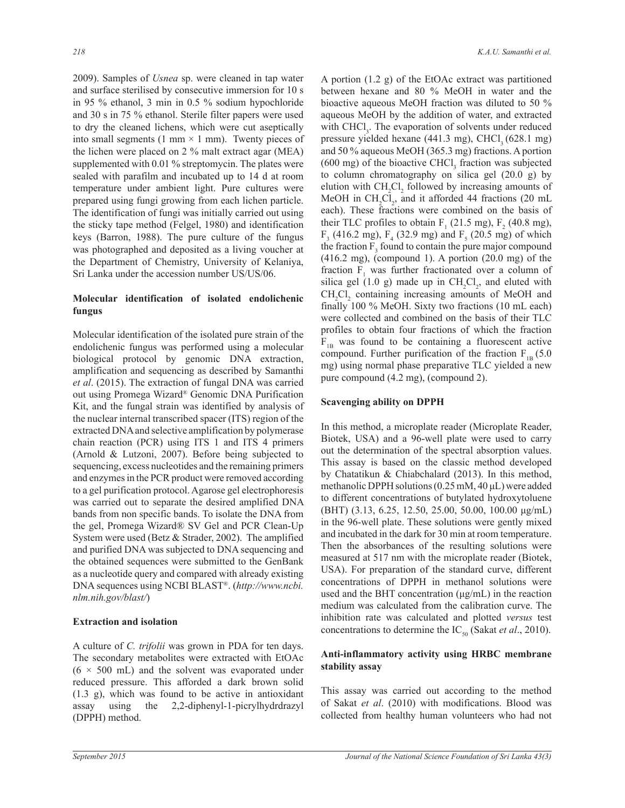2009). Samples of *Usnea* sp. were cleaned in tap water and surface sterilised by consecutive immersion for 10 s in 95 % ethanol, 3 min in 0.5 % sodium hypochloride and 30 s in 75 % ethanol. Sterile filter papers were used to dry the cleaned lichens, which were cut aseptically into small segments (1 mm  $\times$  1 mm). Twenty pieces of the lichen were placed on 2 % malt extract agar (MEA) supplemented with 0.01 % streptomycin. The plates were sealed with parafilm and incubated up to 14 d at room temperature under ambient light. Pure cultures were prepared using fungi growing from each lichen particle. The identification of fungi was initially carried out using the sticky tape method (Felgel, 1980) and identification keys (Barron, 1988). The pure culture of the fungus was photographed and deposited as a living voucher at the Department of Chemistry, University of Kelaniya, Sri Lanka under the accession number US/US/06.

# **Molecular identification of isolated endolichenic fungus**

Molecular identification of the isolated pure strain of the endolichenic fungus was performed using a molecular biological protocol by genomic DNA extraction, amplification and sequencing as described by Samanthi *et al*. (2015). The extraction of fungal DNA was carried out using Promega Wizard® Genomic DNA Purification Kit, and the fungal strain was identified by analysis of the nuclear internal transcribed spacer (ITS) region of the extracted DNA and selective amplification by polymerase chain reaction (PCR) using ITS 1 and ITS 4 primers (Arnold & Lutzoni, 2007). Before being subjected to sequencing, excess nucleotides and the remaining primers and enzymes in the PCR product were removed according to a gel purification protocol. Agarose gel electrophoresis was carried out to separate the desired amplified DNA bands from non specific bands. To isolate the DNA from the gel, Promega Wizard® SV Gel and PCR Clean-Up System were used (Betz & Strader, 2002). The amplified and purified DNA was subjected to DNA sequencing and the obtained sequences were submitted to the GenBank as a nucleotide query and compared with already existing DNA sequences using NCBI BLAST® . (*http://www.ncbi. nlm.nih.gov/blast/*)

# **Extraction and isolation**

A culture of *C. trifolii* was grown in PDA for ten days. The secondary metabolites were extracted with EtOAc  $(6 \times 500$  mL) and the solvent was evaporated under reduced pressure. This afforded a dark brown solid (1.3 g), which was found to be active in antioxidant assay using the 2,2-diphenyl-1-picrylhydrdrazyl (DPPH) method.

A portion (1.2 g) of the EtOAc extract was partitioned between hexane and 80 % MeOH in water and the bioactive aqueous MeOH fraction was diluted to 50 % aqueous MeOH by the addition of water, and extracted with  $CHCl<sub>3</sub>$ . The evaporation of solvents under reduced pressure yielded hexane  $(441.3 \text{ mg})$ , CHCl<sub>3</sub>  $(628.1 \text{ mg})$ and 50 % aqueous MeOH (365.3 mg) fractions. A portion  $(600 \text{ mg})$  of the bioactive CHCl<sub>3</sub> fraction was subjected to column chromatography on silica gel (20.0 g) by elution with  $CH_2Cl_2$  followed by increasing amounts of MeOH in  $CH_2Cl_2$ , and it afforded 44 fractions (20 mL each). These fractions were combined on the basis of their TLC profiles to obtain  $F_1$  (21.5 mg),  $F_2$  (40.8 mg),  $F_3$  (416.2 mg),  $F_4$  (32.9 mg) and  $F_5$  (20.5 mg) of which the fraction  $F_3$  found to contain the pure major compound (416.2 mg), (compound 1). A portion (20.0 mg) of the fraction  $F_1$  was further fractionated over a column of silica gel  $(1.0 \text{ g})$  made up in  $\text{CH}_2\text{Cl}_2$ , and eluted with  $CH_2Cl_2$  containing increasing amounts of MeOH and finally 100 % MeOH. Sixty two fractions (10 mL each) were collected and combined on the basis of their TLC profiles to obtain four fractions of which the fraction  $F_{1B}$  was found to be containing a fluorescent active compound. Further purification of the fraction  $F_{1B}$  (5.0) mg) using normal phase preparative TLC yielded a new pure compound (4.2 mg), (compound 2).

#### **Scavenging ability on DPPH**

In this method, a microplate reader (Microplate Reader, Biotek, USA) and a 96-well plate were used to carry out the determination of the spectral absorption values. This assay is based on the classic method developed by Chatatikun & Chiabchalard (2013). In this method, methanolic DPPH solutions (0.25 mM, 40 μL) were added to different concentrations of butylated hydroxytoluene (BHT) (3.13, 6.25, 12.50, 25.00, 50.00, 100.00 μg/mL) in the 96-well plate. These solutions were gently mixed and incubated in the dark for 30 min at room temperature. Then the absorbances of the resulting solutions were measured at 517 nm with the microplate reader (Biotek, USA). For preparation of the standard curve, different concentrations of DPPH in methanol solutions were used and the BHT concentration (μg/mL) in the reaction medium was calculated from the calibration curve. The inhibition rate was calculated and plotted *versus* test concentrations to determine the IC<sub>50</sub> (Sakat *et al.*, 2010).

# **Anti-inflammatory activity using HRBC membrane stability assay**

This assay was carried out according to the method of Sakat *et al*. (2010) with modifications. Blood was collected from healthy human volunteers who had not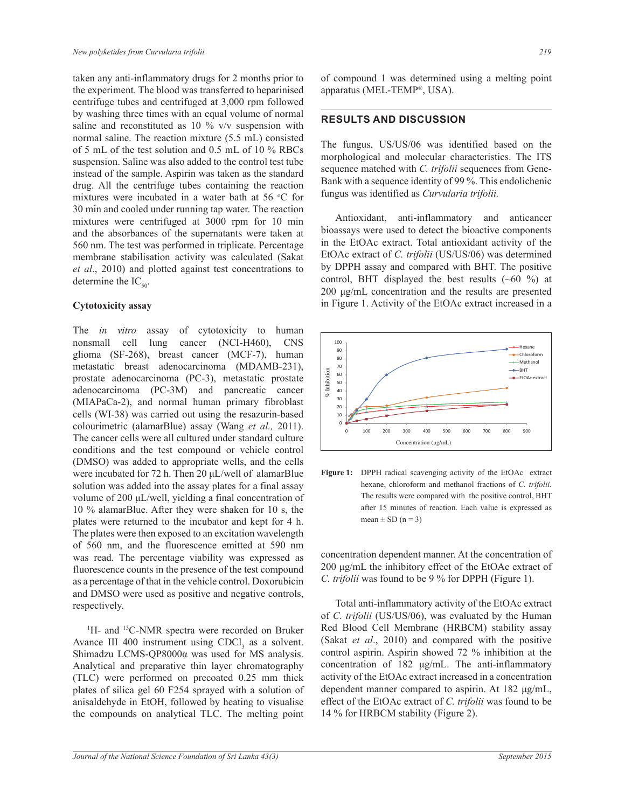taken any anti-inflammatory drugs for 2 months prior to the experiment. The blood was transferred to heparinised centrifuge tubes and centrifuged at 3,000 rpm followed by washing three times with an equal volume of normal saline and reconstituted as 10 % v/v suspension with normal saline. The reaction mixture (5.5 mL) consisted of 5 mL of the test solution and 0.5 mL of 10 % RBCs suspension. Saline was also added to the control test tube instead of the sample. Aspirin was taken as the standard drug. All the centrifuge tubes containing the reaction mixtures were incubated in a water bath at 56 °C for 30 min and cooled under running tap water. The reaction mixtures were centrifuged at 3000 rpm for 10 min and the absorbances of the supernatants were taken at 560 nm. The test was performed in triplicate. Percentage membrane stabilisation activity was calculated (Sakat *et al*., 2010) and plotted against test concentrations to determine the  $IC_{50}$ .

#### **Cytotoxicity assay**

The *in vitro* assay of cytotoxicity to human nonsmall cell lung cancer (NCI-H460), CNS glioma (SF-268), breast cancer (MCF-7), human metastatic breast adenocarcinoma (MDAMB-231), prostate adenocarcinoma (PC-3), metastatic prostate adenocarcinoma (PC-3M) and pancreatic cancer (MIAPaCa-2), and normal human primary fibroblast cells (WI-38) was carried out using the resazurin-based colourimetric (alamarBlue) assay (Wang *et al.,* 2011). The cancer cells were all cultured under standard culture conditions and the test compound or vehicle control (DMSO) was added to appropriate wells, and the cells were incubated for 72 h. Then 20 μL/well of alamarBlue solution was added into the assay plates for a final assay volume of 200 μL/well, yielding a final concentration of 10 % alamarBlue. After they were shaken for 10 s, the plates were returned to the incubator and kept for 4 h. The plates were then exposed to an excitation wavelength of 560 nm, and the fluorescence emitted at 590 nm was read. The percentage viability was expressed as fluorescence counts in the presence of the test compound as a percentage of that in the vehicle control. Doxorubicin and DMSO were used as positive and negative controls, respectively.

<sup>1</sup>H- and <sup>13</sup>C-NMR spectra were recorded on Bruker Avance III 400 instrument using  $CDCl<sub>3</sub>$  as a solvent. Shimadzu LCMS-QP8000α was used for MS analysis. Analytical and preparative thin layer chromatography (TLC) were performed on precoated 0.25 mm thick plates of silica gel 60 F254 sprayed with a solution of anisaldehyde in EtOH, followed by heating to visualise the compounds on analytical TLC. The melting point

of compound 1 was determined using a melting point apparatus (MEL-TEMP® , USA).

# **RESULTS AND DISCUSSION**

The fungus, US/US/06 was identified based on the morphological and molecular characteristics. The ITS sequence matched with *C. trifolii* sequences from Gene-Bank with a sequence identity of 99 %. This endolichenic fungus was identified as *Curvularia trifolii.*

 Antioxidant, anti-inflammatory and anticancer bioassays were used to detect the bioactive components in the EtOAc extract. Total antioxidant activity of the EtOAc extract of *C. trifolii* (US/US/06) was determined by DPPH assay and compared with BHT. The positive control, BHT displayed the best results  $(-60\%)$  at 200 μg/mL concentration and the results are presented in Figure 1. Activity of the EtOAc extract increased in a



Figure 1: DPPH radical scavenging activity of the EtOAc extract after 15 minutes of reaction. Each value is expressed as hexane, chloroform and methanol fractions of *C. trifolii.*  The results were compared with the positive control, BHT mean  $\pm$  SD (n = 3)

concentration dependent manner. At the concentration of 200 μg/mL the inhibitory effect of the EtOAc extract of *C. trifolii* was found to be 9 % for DPPH (Figure 1).

 Total anti-inflammatory activity of the EtOAc extract of *C. trifolii* (US/US/06), was evaluated by the Human Red Blood Cell Membrane (HRBCM) stability assay (Sakat *et al*., 2010) and compared with the positive control aspirin. Aspirin showed 72 % inhibition at the concentration of 182 μg/mL. The anti-inflammatory activity of the EtOAc extract increased in a concentration dependent manner compared to aspirin. At 182 μg/mL, effect of the EtOAc extract of *C. trifolii* was found to be 14 % for HRBCM stability (Figure 2).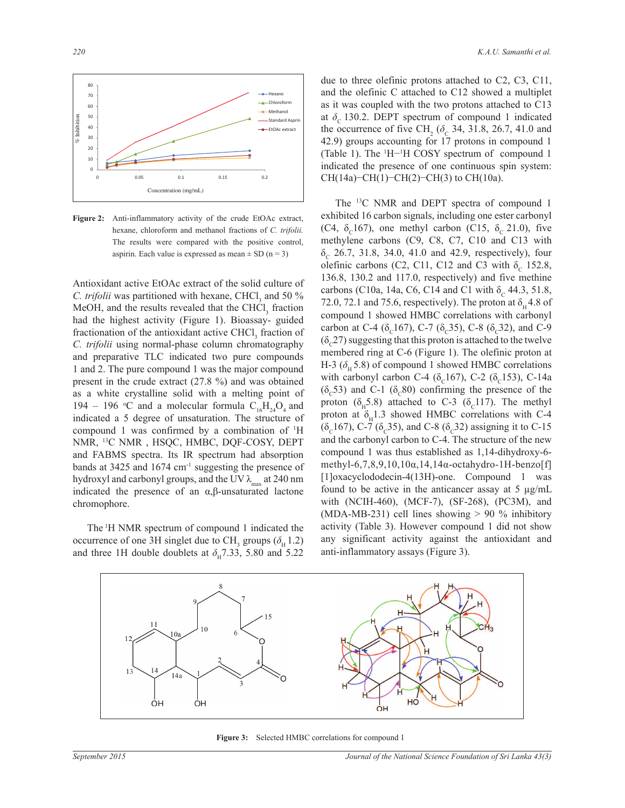

**Figure 2:** Anti-inflammatory activity of the crude EtOAc extract, hexane, chloroform and methanol fractions of *C. trifolii.*  The results were compared with the positive control, aspirin. Each value is expressed as mean  $\pm$  SD (n = 3)

Antioxidant active EtOAc extract of the solid culture of *C. trifolii* was partitioned with hexane,  $CHCl<sub>3</sub>$  and 50  $\%$ MeOH, and the results revealed that the  $CHCl<sub>3</sub>$  fraction had the highest activity (Figure 1). Bioassay- guided fractionation of the antioxidant active CHCl<sub>3</sub> fraction of *C. trifolii* using normal-phase column chromatography and preparative TLC indicated two pure compounds 1 and 2. The pure compound 1 was the major compound present in the crude extract (27.8 %) and was obtained as a white crystalline solid with a melting point of 194 – 196 °C and a molecular formula  $C_{16}H_{24}O_4$  and indicated a 5 degree of unsaturation. The structure of compound 1 was confirmed by a combination of <sup>1</sup>H NMR, <sup>13</sup>C NMR , HSQC, HMBC, DQF-COSY, DEPT and FABMS spectra. Its IR spectrum had absorption bands at  $3425$  and  $1674$  cm<sup>-1</sup> suggesting the presence of hydroxyl and carbonyl groups, and the UV  $\lambda_{\text{max}}$  at 240 nm indicated the presence of an α,β-unsaturated lactone chromophore.

The <sup>1</sup>H NMR spectrum of compound 1 indicated the occurrence of one 3H singlet due to CH<sub>3</sub> groups ( $\delta_H$  1.2) and three 1H double doublets at  $\delta_{\text{H}}$  7.33, 5.80 and 5.22 due to three olefinic protons attached to C2, C3, C11, and the olefinic C attached to C12 showed a multiplet as it was coupled with the two protons attached to C13 at  $\delta_c$  130.2. DEPT spectrum of compound 1 indicated the occurrence of five CH<sub>2</sub> ( $\delta_c$  34, 31.8, 26.7, 41.0 and 42.9) groups accounting for 17 protons in compound 1 (Table 1). The <sup>1</sup>H−<sup>1</sup>H COSY spectrum of compound 1 indicated the presence of one continuous spin system: CH(14a)−CH(1)−CH(2)−CH(3) to CH(10a).

 The <sup>13</sup>C NMR and DEPT spectra of compound 1 exhibited 16 carbon signals, including one ester carbonyl (C4,  $\delta_c$ 167), one methyl carbon (C15,  $\delta_c$  21.0), five methylene carbons (C9, C8, C7, C10 and C13 with  $\delta_c$  26.7, 31.8, 34.0, 41.0 and 42.9, respectively), four olefinic carbons (C2, C11, C12 and C3 with  $\delta_c$  152.8, 136.8, 130.2 and 117.0, respectively) and five methine carbons (C10a, 14a, C6, C14 and C1 with  $\delta_c$  44.3, 51.8, 72.0, 72.1 and 75.6, respectively). The proton at  $\delta_{\rm H}$  4.8 of compound 1 showed HMBC correlations with carbonyl carbon at C-4 ( $\delta_c$ 167), C-7 ( $\delta_c$ 35), C-8 ( $\delta_c$ 32), and C-9  $(\delta_c^2)$  suggesting that this proton is attached to the twelve membered ring at C-6 (Figure 1). The olefinic proton at H-3 ( $\delta$ <sub>H</sub> 5.8) of compound 1 showed HMBC correlations with carbonyl carbon C-4 ( $\delta_c$ 167), C-2 ( $\delta_c$ 153), C-14a  $(\delta_c 53)$  and C-1  $(\delta_c 80)$  confirming the presence of the proton ( $\delta_{\text{H}}$ 5.8) attached to C-3 ( $\delta_{\text{C}}$ 117). The methyl proton at  $\delta_{\rm H}$ 1.3 showed HMBC correlations with C-4 ( $\delta_c$ 167), C-7 ( $\delta_c$ 35), and C-8 ( $\delta_c$ 32) assigning it to C-15 and the carbonyl carbon to C-4. The structure of the new compound 1 was thus established as 1,14-dihydroxy-6 methyl-6,7,8,9,10,10α,14,14α-octahydro-1H-benzo[f] [1]oxacyclododecin-4(13H)-one. Compound 1 was found to be active in the anticancer assay at  $5 \mu g/mL$ with (NCIH-460), (MCF-7), (SF-268), (PC3M), and (MDA-MB-231) cell lines showing  $> 90\%$  inhibitory activity (Table 3). However compound 1 did not show any significant activity against the antioxidant and anti-inflammatory assays (Figure 3).



**Figure 3:** Selected HMBC correlations for compound 1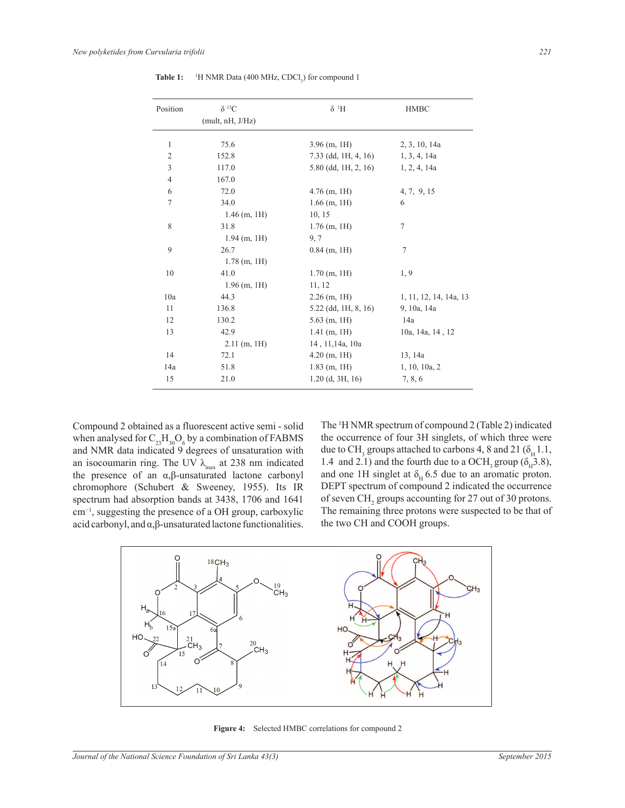| Position       | $\delta^{13}C$   | $\delta$ <sup>1</sup> H           | <b>HMBC</b>            |  |
|----------------|------------------|-----------------------------------|------------------------|--|
|                | (mult, nH, J/Hz) |                                   |                        |  |
| 1              | 75.6             | $3.96$ (m, 1H)                    | 2, 3, 10, 14a          |  |
| $\mathfrak{2}$ | 152.8            | 7.33 (dd, 1H, 4, 16) 1, 3, 4, 14a |                        |  |
| 3              | 117.0            | 5.80 (dd, 1H, 2, 16) 1, 2, 4, 14a |                        |  |
| $\overline{4}$ | 167.0            |                                   |                        |  |
| 6              | 72.0             | $4.76$ (m, 1H)                    | 4, 7, 9, 15            |  |
| $\tau$         | 34.0             | $1.66$ (m, 1H)                    | 6                      |  |
|                | $1.46$ (m, 1H)   | 10, 15                            |                        |  |
| 8              | 31.8             | $1.76$ (m, 1H)                    | 7                      |  |
|                | $1.94$ (m, 1H)   | 9,7                               |                        |  |
| 9              | 26.7             | $0.84$ (m, 1H)                    | 7                      |  |
|                | $1.78$ (m, 1H)   |                                   |                        |  |
| 10             | 41.0             | $1.70$ (m, 1H)                    | 1,9                    |  |
|                | $1.96$ (m, 1H)   | 11, 12                            |                        |  |
| 10a            | 44.3             | $2.26$ (m, 1H)                    | 1, 11, 12, 14, 14a, 13 |  |
| 11             | 136.8            | 5.22 (dd, 1H, 8, 16)              | 9, 10a, 14a            |  |
| 12             | 130.2            | $5.63$ (m, 1H)                    | 14a                    |  |
| 13             | 42.9             | $1.41$ (m, 1H)                    | 10a, 14a, 14, 12       |  |
|                | $2.11$ (m, 1H)   | 14, 11, 14a, 10a                  |                        |  |
| 14             | 72.1             | $4.20$ (m, 1H)                    | 13, 14a                |  |
| 14a            | 51.8             | $1.83$ (m, 1H)                    | 1, 10, 10a, 2          |  |
| 15             | 21.0             | $1.20$ (d, 3H, 16)                | 7, 8, 6                |  |

**Table 1:** <sup>1</sup>H NMR Data (400 MHz, CDCl<sub>3</sub>) for compound 1

Compound 2 obtained as a fluorescent active semi - solid when analysed for  $C_{23}H_{30}O_6$  by a combination of FABMS and NMR data indicated 9 degrees of unsaturation with an isocoumarin ring. The UV  $\lambda_{\text{max}}$  at 238 nm indicated the presence of an α,β-unsaturated lactone carbonyl chromophore (Schubert & Sweeney, 1955). Its IR spectrum had absorption bands at 3438, 1706 and 1641 cm−1, suggesting the presence of a OH group, carboxylic acid carbonyl, and  $\alpha$ ,  $\beta$ -unsaturated lactone functionalities.

The <sup>1</sup>H NMR spectrum of compound 2 (Table 2) indicated the occurrence of four 3H singlets, of which three were due to CH<sub>3</sub> groups attached to carbons 4, 8 and 21 ( $\delta_H$ 1.1, 1.4 and 2.1) and the fourth due to a OCH<sub>3</sub> group ( $\delta_H$ 3.8), and one 1H singlet at  $\delta_{\rm H}$  6.5 due to an aromatic proton. DEPT spectrum of compound 2 indicated the occurrence of seven  $CH<sub>2</sub>$  groups accounting for 27 out of 30 protons. The remaining three protons were suspected to be that of the two CH and COOH groups.



**Figure 4:** Selected HMBC correlations for compound 2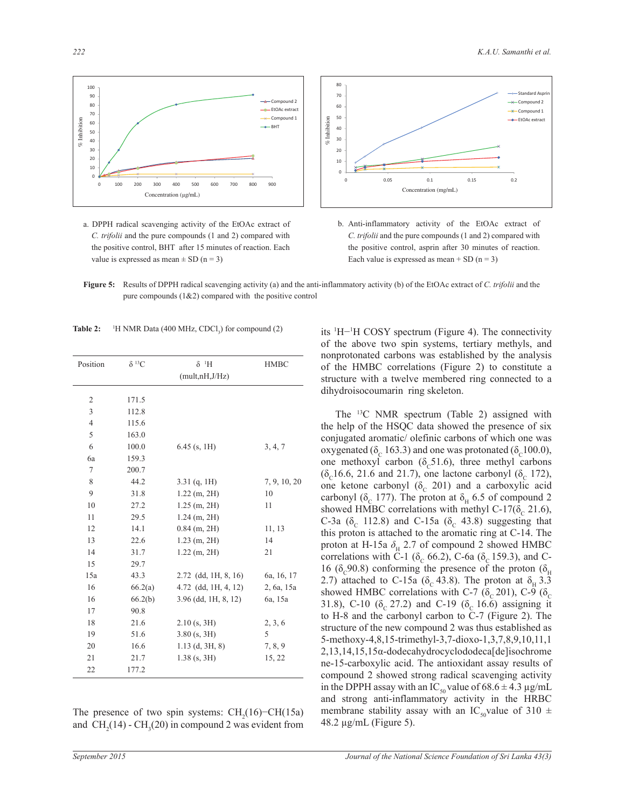

a. DPPH radical scavenging activity of the EtOAc extract of *C. trifolii* and the pure compounds (1 and 2) compared with the positive control, BHT after 15 minutes of reaction. Each value is expressed as mean  $\pm$  SD (n = 3)



- b. Anti-inflammatory activity of the EtOAc extract of *C. trifolii* and the pure compounds (1 and 2) compared with the positive control, asprin after 30 minutes of reaction. Each value is expressed as mean  $+$  SD (n = 3)
- **Figure 5:** Results of DPPH radical scavenging activity (a) and the anti-inflammatory activity (b) of the EtOAc extract of *C. trifolii* and the pure compounds (1&2) compared with the positive control

| Table 2: |  |  |  | <sup>1</sup> H NMR Data (400 MHz, CDCl <sub>3</sub> ) for compound (2) |
|----------|--|--|--|------------------------------------------------------------------------|
|----------|--|--|--|------------------------------------------------------------------------|

| Position       | $\delta^{13}C$ | $\delta$ <sup>1</sup> H<br>(mult,nH,J/Hz) | <b>HMBC</b>  |
|----------------|----------------|-------------------------------------------|--------------|
|                |                |                                           |              |
| 2              | 171.5          |                                           |              |
| 3              | 112.8          |                                           |              |
| $\overline{4}$ | 115.6          |                                           |              |
| 5              | 163.0          |                                           |              |
| 6              | 100.0          | $6.45$ (s, 1H)                            | 3, 4, 7      |
| 6a             | 159.3          |                                           |              |
| 7              | 200.7          |                                           |              |
| 8              | 44.2           | $3.31$ (q, 1H)                            | 7, 9, 10, 20 |
| 9              | 31.8           | $1.22$ (m, 2H)                            | 10           |
| 10             | 27.2           | $1.25$ (m, 2H)                            | 11           |
| 11             | 29.5           | $1.24$ (m, 2H)                            |              |
| 12             | 14.1           | $0.84$ (m, 2H)                            | 11, 13       |
| 13             | 22.6           | $1.23$ (m, 2H)                            | 14           |
| 14             | 31.7           | $1.22$ (m, $2H$ )                         | 21           |
| 15             | 29.7           |                                           |              |
| 15a            | 43.3           | $2.72$ (dd, 1H, 8, 16)                    | 6a, 16, 17   |
| 16             | 66.2(a)        | $4.72$ (dd, 1H, $4, 12$ )                 | 2, 6a, 15a   |
| 16             | 66.2(b)        | $3.96$ (dd, 1H, 8, 12)                    | 6a, 15a      |
| 17             | 90.8           |                                           |              |
| 18             | 21.6           | $2.10$ (s, 3H)                            | 2, 3, 6      |
| 19             | 51.6           | $3.80$ (s, $3H$ )                         | 5            |
| 20             | 16.6           | $1.13$ (d, $3H, 8$ )                      | 7, 8, 9      |
| 21             | 21.7           | $1.38$ (s, 3H)                            | 15, 22       |
| 22             | 177.2          |                                           |              |

The presence of two spin systems:  $CH<sub>2</sub>(16)$ –CH(15a) and  $\text{CH}_2(14)$  -  $\text{CH}_3(20)$  in compound 2 was evident from its <sup>1</sup>H−<sup>1</sup>H COSY spectrum (Figure 4). The connectivity of the above two spin systems, tertiary methyls, and nonprotonated carbons was established by the analysis of the HMBC correlations (Figure 2) to constitute a structure with a twelve membered ring connected to a dihydroisocoumarin ring skeleton.

 The <sup>13</sup>C NMR spectrum (Table 2) assigned with the help of the HSQC data showed the presence of six conjugated aromatic/ olefinic carbons of which one was oxygenated ( $\delta_c$  163.3) and one was protonated ( $\delta_c$ 100.0), one methoxyl carbon ( $\delta_c$ 51.6), three methyl carbons  $(\delta_c 16.6, 21.6 \text{ and } 21.7)$ , one lactone carbonyl  $(\delta_c 172)$ , one ketone carbonyl  $(\delta_{\rm c}$  201) and a carboxylic acid carbonyl ( $\delta_{\rm c}$  177). The proton at  $\delta_{\rm H}$  6.5 of compound 2 showed HMBC correlations with methyl C-17( $\delta_c$  21.6), C-3a ( $\delta_c$  112.8) and C-15a ( $\delta_c$  43.8) suggesting that this proton is attached to the aromatic ring at C-14. The proton at H-15a  $\delta_{\rm H}$  2.7 of compound 2 showed HMBC correlations with C-1 ( $\delta_c$  66.2), C-6a ( $\delta_c$  159.3), and C-16 ( $\delta_{\rm c}$ 90.8) conforming the presence of the proton ( $\delta_{\rm H}$ ) 2.7) attached to C-15a ( $\delta_c$  43.8). The proton at  $\delta_H$  3.3 showed HMBC correlations with C-7 ( $\delta_c$  201), C-9 ( $\delta_c$ 31.8), C-10 ( $\delta_c$  27.2) and C-19 ( $\delta_c$  16.6) assigning it to H-8 and the carbonyl carbon to C-7 (Figure 2). The structure of the new compound 2 was thus established as 5-methoxy-4,8,15-trimethyl-3,7-dioxo-1,3,7,8,9,10,11,1 2,13,14,15,15α-dodecahydrocyclododeca[de]isochrome ne-15-carboxylic acid. The antioxidant assay results of compound 2 showed strong radical scavenging activity in the DPPH assay with an IC<sub>50</sub> value of 68.6  $\pm$  4.3 µg/mL and strong anti-inflammatory activity in the HRBC membrane stability assay with an IC<sub>50</sub>value of 310  $\pm$ 48.2 µg/mL (Figure 5).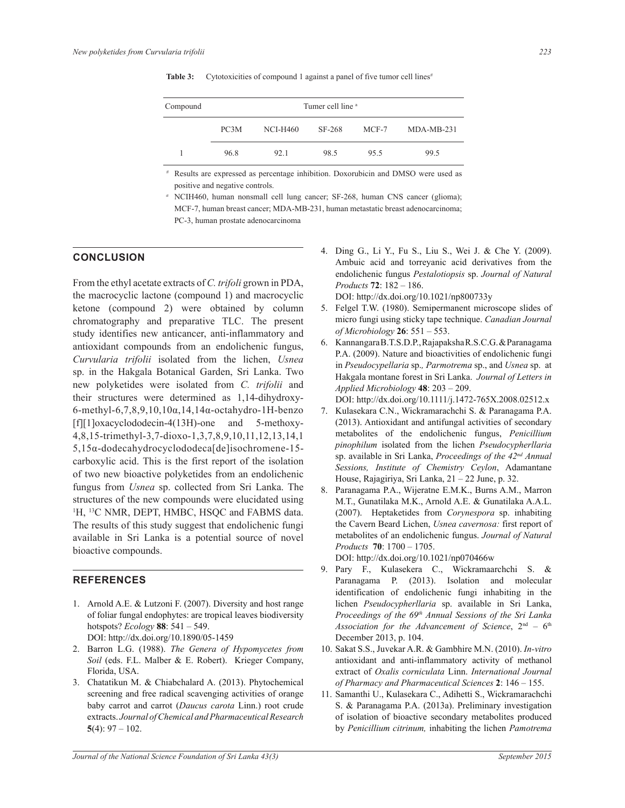| Compound |      | Tumer cell line <sup>a</sup> |        |       |              |  |
|----------|------|------------------------------|--------|-------|--------------|--|
|          | PC3M | NCI-H460                     | SF-268 | MCF-7 | $MDA-MB-231$ |  |
|          | 96.8 | 92.1                         | 98.5   | 95.5  | 99.5         |  |

**Table 3:** Cytotoxicities of compound 1 against a panel of five tumor cell lines*#*

*#* Results are expressed as percentage inhibition. Doxorubicin and DMSO were used as positive and negative controls.

*a* NCIH460, human nonsmall cell lung cancer; SF-268, human CNS cancer (glioma); MCF-7, human breast cancer; MDA-MB-231, human metastatic breast adenocarcinoma; PC-3, human prostate adenocarcinoma

# **CONCLUSION**

From the ethyl acetate extracts of *C. trifoli* grown in PDA, the macrocyclic lactone (compound 1) and macrocyclic ketone (compound 2) were obtained by column chromatography and preparative TLC. The present study identifies new anticancer, anti-inflammatory and antioxidant compounds from an endolichenic fungus, *Curvularia trifolii* isolated from the lichen, *Usnea* sp. in the Hakgala Botanical Garden, Sri Lanka. Two new polyketides were isolated from *C. trifolii* and their structures were determined as 1,14-dihydroxy-6-methyl-6,7,8,9,10,10α,14,14α-octahydro-1H-benzo [f][1]oxacyclododecin-4(13H)-one and 5-methoxy-4,8,15-trimethyl-3,7-dioxo-1,3,7,8,9,10,11,12,13,14,1 5,15α-dodecahydrocyclododeca[de]isochromene-15 carboxylic acid. This is the first report of the isolation of two new bioactive polyketides from an endolichenic fungus from *Usnea* sp. collected from Sri Lanka. The structures of the new compounds were elucidated using <sup>1</sup>H, <sup>13</sup>C NMR, DEPT, HMBC, HSQC and FABMS data. The results of this study suggest that endolichenic fungi available in Sri Lanka is a potential source of novel bioactive compounds.

## **REFERENCES**

- 1. Arnold A.E. & Lutzoni F. (2007). Diversity and host range of foliar fungal endophytes: are tropical leaves biodiversity hotspots? *Ecology* **88**: 541 ‒ 549. DOI: http://dx.doi.org/10.1890/05-1459
- 2. Barron L.G. (1988). *The Genera of Hypomycetes from Soil* (eds. F.L. Malber & E. Robert). Krieger Company, Florida, USA.
- 3. Chatatikun M. & Chiabchalard A. (2013). Phytochemical screening and free radical scavenging activities of orange baby carrot and carrot (*Daucus carota* Linn.) root crude extracts. *Journal of Chemical and Pharmaceutical Research*   $5(4): 97 - 102.$
- 4. Ding G., Li Y., Fu S., Liu S., Wei J. & Che Y. (2009). Ambuic acid and torreyanic acid derivatives from the endolichenic fungus *Pestalotiopsis* sp. *Journal of Natural Products* **72**: 182 ‒ 186. DOI: http://dx.doi.org/10.1021/np800733y
- 5. Felgel T.W. (1980). Semipermanent microscope slides of micro fungi using sticky tape technique. *Canadian Journal of Microbiology* **26**: 551 ‒ 553.
- 6. Kannangara B.T.S.D.P., Rajapaksha R.S.C.G. & Paranagama P.A. (2009). Nature and bioactivities of endolichenic fungi in *Pseudocypellaria* sp.*, Parmotrema* sp., and *Usnea* sp. at Hakgala montane forest in Sri Lanka. *Journal of Letters in Applied Microbiology* **48**: 203 ‒ 209.

DOI: http://dx.doi.org/10.1111/j.1472-765X.2008.02512.x

- 7. Kulasekara C.N., Wickramarachchi S. & Paranagama P.A. (2013). Antioxidant and antifungal activities of secondary metabolites of the endolichenic fungus, *Penicillium pinophilum* isolated from the lichen *Pseudocypherllaria*  sp. available in Sri Lanka, *Proceedings of the 42nd Annual Sessions, Institute of Chemistry Ceylon*, Adamantane House, Rajagiriya, Sri Lanka,  $21 - 22$  June, p. 32.
- 8. Paranagama P.A., Wijeratne E.M.K., Burns A.M., Marron M.T., Gunatilaka M.K., Arnold A.E. & Gunatilaka A.A.L. (2007). Heptaketides from *Corynespora* sp. inhabiting the Cavern Beard Lichen, *Usnea cavernosa:* first report of metabolites of an endolichenic fungus. *Journal of Natural Products* **70**: 1700 ‒ 1705.

DOI: http://dx.doi.org/10.1021/np070466w

- 9. Pary F., Kulasekera C., Wickramaarchchi S. & Paranagama P. (2013). Isolation and molecular identification of endolichenic fungi inhabiting in the lichen *Pseudocypherllaria* sp. available in Sri Lanka, *Proceedings of the 69th Annual Sessions of the Sri Lanka*  Association for the Advancement of Science,  $2<sup>nd</sup> - 6<sup>th</sup>$ December 2013, p. 104.
- 10. Sakat S.S., Juvekar A.R. & Gambhire M.N. (2010). *In-vitro* antioxidant and anti-inflammatory activity of methanol extract of *Oxalis corniculata* Linn. *International Journal of Pharmacy and Pharmaceutical Sciences* **2**: 146 ‒ 155.
- 11. Samanthi U., Kulasekara C., Adihetti S., Wickramarachchi S. & Paranagama P.A. (2013a). Preliminary investigation of isolation of bioactive secondary metabolites produced by *Penicillium citrinum,* inhabiting the lichen *Pamotrema*